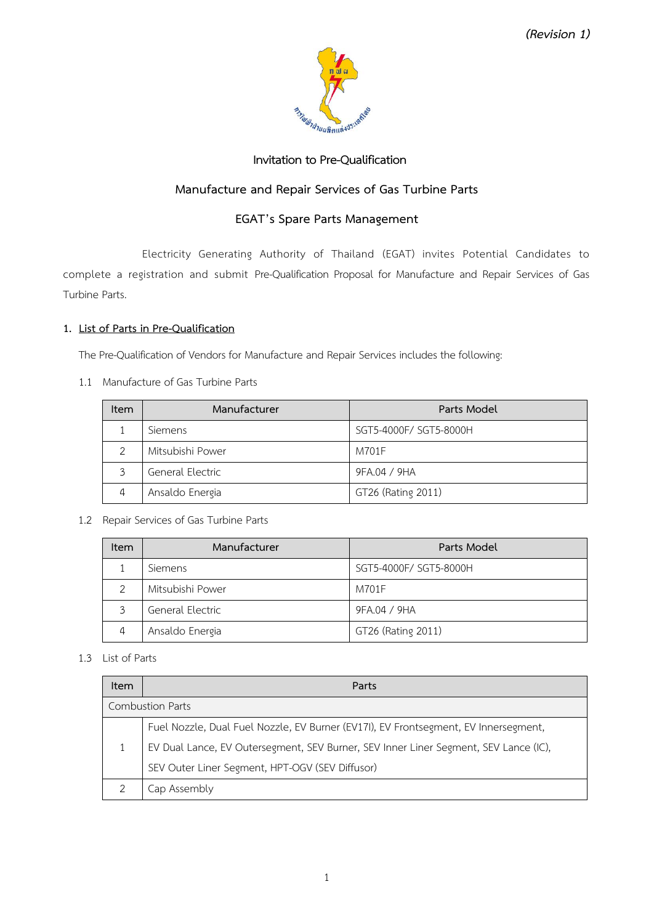

# **Invitation to Pre-Qualification**

# **Manufacture and Repair Services of Gas Turbine Parts**

# **EGAT's Spare Parts Management**

Electricity Generating Authority of Thailand (EGAT) invites Potential Candidates to complete a registration and submit Pre-Qualification Proposal for Manufacture and Repair Services of Gas Turbine Parts.

### **1. List of Parts in Pre-Qualification**

The Pre-Qualification of Vendors for Manufacture and Repair Services includes the following:

1.1 Manufacture of Gas Turbine Parts

| Item         | Manufacturer     | Parts Model            |
|--------------|------------------|------------------------|
|              | <b>Siemens</b>   | SGT5-4000F/ SGT5-8000H |
| 2            | Mitsubishi Power | M701F                  |
| $\mathbf{z}$ | General Electric | 9FA.04 / 9HA           |
| 4            | Ansaldo Energia  | GT26 (Rating 2011)     |

### 1.2 Repair Services of Gas Turbine Parts

| <b>Item</b> | Manufacturer     | Parts Model            |
|-------------|------------------|------------------------|
|             | Siemens          | SGT5-4000F/ SGT5-8000H |
|             | Mitsubishi Power | M701F                  |
|             | General Electric | 9FA.04 / 9HA           |
|             | Ansaldo Energia  | GT26 (Rating 2011)     |

1.3 List of Parts

| <b>Item</b>             | Parts                                                                                |  |  |
|-------------------------|--------------------------------------------------------------------------------------|--|--|
| <b>Combustion Parts</b> |                                                                                      |  |  |
|                         | Fuel Nozzle, Dual Fuel Nozzle, EV Burner (EV17I), EV Frontsegment, EV Innersegment,  |  |  |
|                         | EV Dual Lance, EV Outersegment, SEV Burner, SEV Inner Liner Segment, SEV Lance (IC), |  |  |
|                         | SEV Outer Liner Segment, HPT-OGV (SEV Diffusor)                                      |  |  |
|                         | Cap Assembly                                                                         |  |  |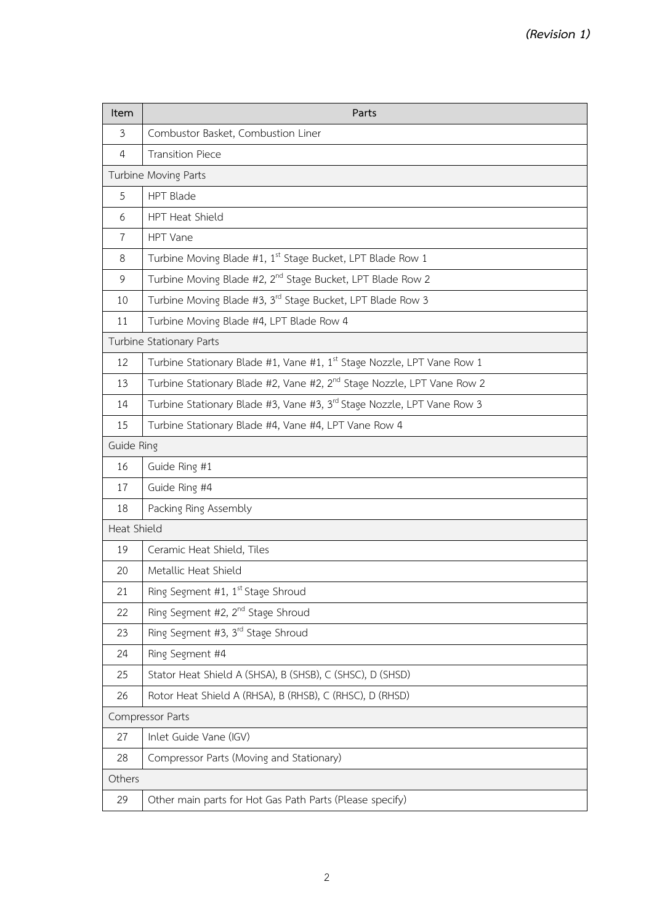| Item                     | Parts                                                                              |  |
|--------------------------|------------------------------------------------------------------------------------|--|
| $\mathfrak{Z}$           | Combustor Basket, Combustion Liner                                                 |  |
| 4                        | <b>Transition Piece</b>                                                            |  |
| Turbine Moving Parts     |                                                                                    |  |
| 5                        | <b>HPT Blade</b>                                                                   |  |
| 6                        | HPT Heat Shield                                                                    |  |
| $\overline{7}$           | HPT Vane                                                                           |  |
| 8                        | Turbine Moving Blade #1, 1st Stage Bucket, LPT Blade Row 1                         |  |
| $\overline{9}$           | Turbine Moving Blade #2, 2 <sup>nd</sup> Stage Bucket, LPT Blade Row 2             |  |
| 10                       | Turbine Moving Blade #3, 3rd Stage Bucket, LPT Blade Row 3                         |  |
| 11                       | Turbine Moving Blade #4, LPT Blade Row 4                                           |  |
| Turbine Stationary Parts |                                                                                    |  |
| 12                       | Turbine Stationary Blade #1, Vane #1, 1 <sup>st</sup> Stage Nozzle, LPT Vane Row 1 |  |
| 13                       | Turbine Stationary Blade #2, Vane #2, 2 <sup>nd</sup> Stage Nozzle, LPT Vane Row 2 |  |
| 14                       | Turbine Stationary Blade #3, Vane #3, 3rd Stage Nozzle, LPT Vane Row 3             |  |
| 15                       | Turbine Stationary Blade #4, Vane #4, LPT Vane Row 4                               |  |
| Guide Ring               |                                                                                    |  |
| 16                       | Guide Ring #1                                                                      |  |
| 17                       | Guide Ring #4                                                                      |  |
| 18                       | Packing Ring Assembly                                                              |  |
| Heat Shield              |                                                                                    |  |
| 19                       | Ceramic Heat Shield, Tiles                                                         |  |
| 20                       | Metallic Heat Shield                                                               |  |
| 21                       | Ring Segment #1, 1 <sup>st</sup> Stage Shroud                                      |  |
| 22                       | Ring Segment #2, 2 <sup>nd</sup> Stage Shroud                                      |  |
| 23                       | Ring Segment #3, 3 <sup>rd</sup> Stage Shroud                                      |  |
| 24                       | Ring Segment #4                                                                    |  |
| 25                       | Stator Heat Shield A (SHSA), B (SHSB), C (SHSC), D (SHSD)                          |  |
| 26                       | Rotor Heat Shield A (RHSA), B (RHSB), C (RHSC), D (RHSD)                           |  |
| Compressor Parts         |                                                                                    |  |
| 27                       | Inlet Guide Vane (IGV)                                                             |  |
| 28                       | Compressor Parts (Moving and Stationary)                                           |  |
| Others                   |                                                                                    |  |
| 29                       | Other main parts for Hot Gas Path Parts (Please specify)                           |  |